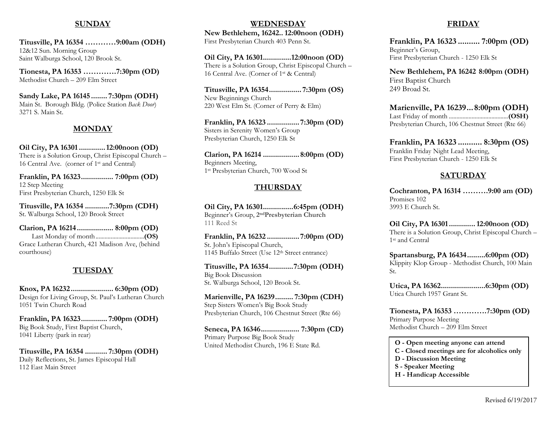#### SUNDAY

Titusville, PA 16354 …………9:00am (ODH) 12&12 Sun. Morning Group Saint Walburga School, 120 Brook St.

Tionesta, PA 16353 ………….7:30pm (OD) Methodist Church – 209 Elm Street

Sandy Lake, PA 16145 ........ 7:30pm (ODH) Main St. Borough Bldg. (Police Station Back Door) 3271 S. Main St.

#### MONDAY

Oil City, PA 16301 ............. 12:00noon (OD) There is a Solution Group, Christ Episcopal Church – 16 Central Ave. (corner of 1st and Central)

Franklin, PA 16323 ................ 7:00pm (OD) 12 Step Meeting First Presbyterian Church, 1250 Elk St

Titusville, PA 16354 ............7:30pm (CDH) St. Walburga School, 120 Brook Street

Clarion, PA 16214 .................. 8:00pm (OD) Last Monday of month ................................ (OS) Grace Lutheran Church, 421 Madison Ave, (behind courthouse)

#### TUESDAY

Knox, PA 16232 ..................... 6:30pm (OD) Design for Living Group, St. Paul's Lutheran Church 1051 Twin Church Road

Franklin, PA 16323 ............. 7:00pm (ODH) Big Book Study, First Baptist Church, 1041 Liberty (park in rear)

Titusville, PA 16354 ........... 7:30pm (ODH) Daily Reflections, St. James Episcopal Hall 112 East Main Street

#### WEDNESDAY New Bethlehem, 16242 .. 12:00noon (ODH) First Presbyterian Church 403 Penn St.

Oil City, PA 16301...............12:00noon (OD) There is a Solution Group, Christ Episcopal Church – 16 Central Ave. (Corner of 1st & Central)

Titusville, PA 16354 ................ 7:30pm (OS) New Beginnings Church 220 West Elm St. (Corner of Perry & Elm)

Franklin, PA 16323 ................ 7:30pm (OD) Sisters in Serenity Women's Group Presbyterian Church, 1250 Elk St

Clarion, PA 16214 .................. 8:00pm (OD) Beginners Meeting, 1 st Presbyterian Church, 700 Wood St

#### THURSDAY

Oil City, PA 16301 ............... 6:45pm (ODH) Beginner's Group, 2<sup>nd</sup>Presbyterian Church 111 Reed St

Franklin, PA 16232 ................ 7:00pm (OD) St. John's Episcopal Church, 1145 Buffalo Street (Use 12th Street entrance)

Titusville, PA 16354 ............ 7:30pm (ODH) Big Book Discussion St. Walburga School, 120 Brook St.

Marienville, PA 16239 ......... 7:30pm (CDH) Step Sisters Women's Big Book Study Presbyterian Church, 106 Chestnut Street (Rte 66)

Seneca, PA 16346 ................... 7:30pm (CD) Primary Purpose Big Book Study United Methodist Church, 196 E State Rd.

### FRIDAY

Franklin, PA 16323 .......... 7:00pm (OD) Beginner's Group, First Presbyterian Church - 1250 Elk St

New Bethlehem, PA 16242 8:00pm (ODH) First Baptist Church 249 Broad St.

Marienville, PA 16239 ... 8:00pm (ODH) Last Friday of month ....................................... (OSH) Presbyterian Church, 106 Chestnut Street (Rte 66)

Franklin, PA 16323 ........... 8:30pm (OS) Franklin Friday Night Lead Meeting, First Presbyterian Church - 1250 Elk St

#### SATURDAY

Cochranton, PA 16314 ……….9:00 am (OD) Promises 102 3993 E Church St.

Oil City, PA 16301 ............. 12:00noon (OD) There is a Solution Group, Christ Episcopal Church – 1 st and Central

Spartansburg, PA 16434 ......... 6:00pm (OD) Klippity Klop Group - Methodist Church, 100 Main St.

Utica, PA 16362 ...................... 6:30pm (OD) Utica Church 1957 Grant St.

Tionesta, PA 16353 ………….7:30pm (OD) Primary Purpose Meeting Methodist Church – 209 Elm Street

O - Open meeting anyone can attend

C - Closed meetings are for alcoholics only

- D Discussion Meeting
- S Speaker Meeting
- H Handicap Accessible